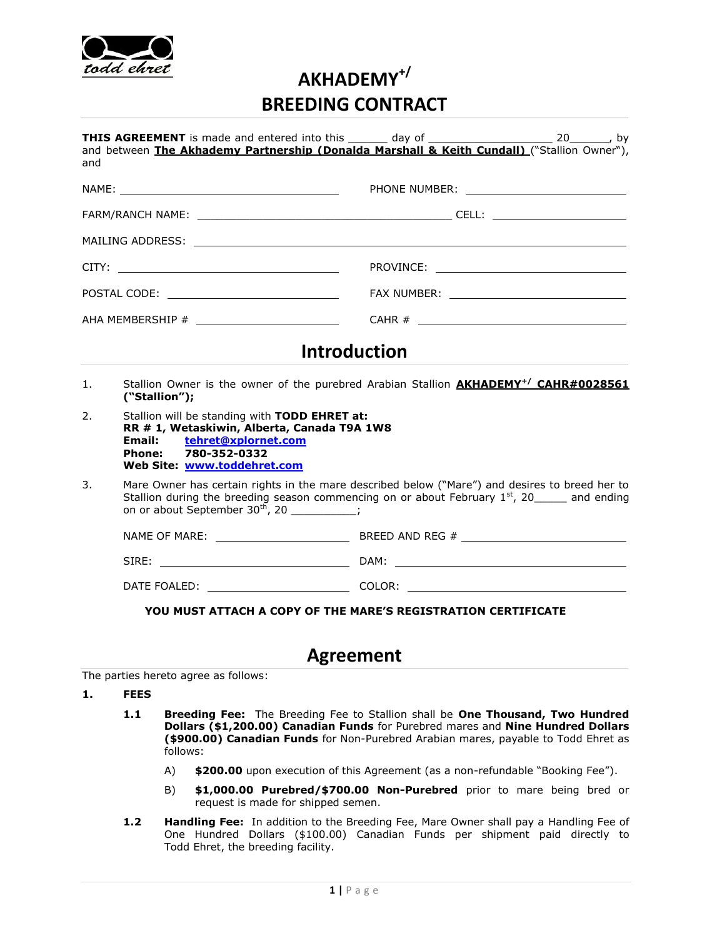

# **AKHADEMY+/ BREEDING CONTRACT**

| and                                          |                                                                                                                                                                                                                                                | and between The Akhademy Partnership (Donalda Marshall & Keith Cundall) ("Stallion Owner"),            |
|----------------------------------------------|------------------------------------------------------------------------------------------------------------------------------------------------------------------------------------------------------------------------------------------------|--------------------------------------------------------------------------------------------------------|
|                                              |                                                                                                                                                                                                                                                |                                                                                                        |
|                                              |                                                                                                                                                                                                                                                |                                                                                                        |
|                                              |                                                                                                                                                                                                                                                |                                                                                                        |
| POSTAL CODE: _______________________________ |                                                                                                                                                                                                                                                |                                                                                                        |
|                                              |                                                                                                                                                                                                                                                |                                                                                                        |
|                                              |                                                                                                                                                                                                                                                | <b>Introduction</b>                                                                                    |
| $\mathbf{1}$ .                               | ("Stallion");                                                                                                                                                                                                                                  | Stallion Owner is the owner of the purebred Arabian Stallion <b>AKHADEMY<sup>+/</sup> CAHR#0028561</b> |
| 2.                                           | Stallion will be standing with TODD EHRET at:<br>RR # 1, Wetaskiwin, Alberta, Canada T9A 1W8<br>tehret@xplornet.com<br>Email:<br>780-352-0332<br>Phone:<br>Web Site: www.toddehret.com                                                         |                                                                                                        |
| 3.                                           | Mare Owner has certain rights in the mare described below ("Mare") and desires to breed her to<br>Stallion during the breeding season commencing on or about February $1st$ , 20 and ending<br>on or about September $30^{th}$ , 20 _________; |                                                                                                        |
|                                              |                                                                                                                                                                                                                                                |                                                                                                        |
|                                              |                                                                                                                                                                                                                                                |                                                                                                        |
|                                              |                                                                                                                                                                                                                                                |                                                                                                        |

# **Agreement**

The parties hereto agree as follows:

**1. FEES**

- **1.1 Breeding Fee:** The Breeding Fee to Stallion shall be **One Thousand, Two Hundred Dollars (\$1,200.00) Canadian Funds** for Purebred mares and **Nine Hundred Dollars (\$900.00) Canadian Funds** for Non-Purebred Arabian mares, payable to Todd Ehret as follows:
	- A) **\$200.00** upon execution of this Agreement (as a non-refundable "Booking Fee").
	- B) **\$1,000.00 Purebred/\$700.00 Non-Purebred** prior to mare being bred or request is made for shipped semen.
- **1.2 Handling Fee:** In addition to the Breeding Fee, Mare Owner shall pay a Handling Fee of One Hundred Dollars (\$100.00) Canadian Funds per shipment paid directly to Todd Ehret, the breeding facility.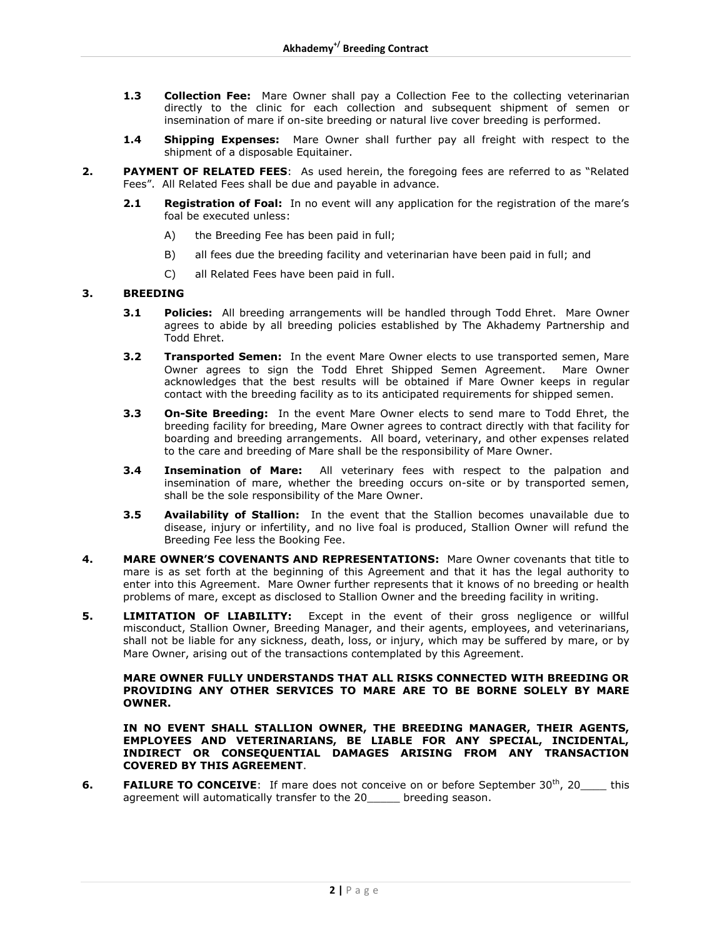- **1.3 Collection Fee:** Mare Owner shall pay a Collection Fee to the collecting veterinarian directly to the clinic for each collection and subsequent shipment of semen or insemination of mare if on-site breeding or natural live cover breeding is performed.
- **1.4 Shipping Expenses:** Mare Owner shall further pay all freight with respect to the shipment of a disposable Equitainer.
- **2. PAYMENT OF RELATED FEES**: As used herein, the foregoing fees are referred to as "Related Fees". All Related Fees shall be due and payable in advance.
	- **2.1 <b>Registration of Foal:** In no event will any application for the registration of the mare's foal be executed unless:
		- A) the Breeding Fee has been paid in full;
		- B) all fees due the breeding facility and veterinarian have been paid in full; and
		- C) all Related Fees have been paid in full.

#### **3. BREEDING**

- **3.1 Policies:** All breeding arrangements will be handled through Todd Ehret. Mare Owner agrees to abide by all breeding policies established by The Akhademy Partnership and Todd Ehret.
- **3.2 Transported Semen:** In the event Mare Owner elects to use transported semen, Mare Owner agrees to sign the Todd Ehret Shipped Semen Agreement. Mare Owner acknowledges that the best results will be obtained if Mare Owner keeps in regular contact with the breeding facility as to its anticipated requirements for shipped semen.
- **3.3 On-Site Breeding:** In the event Mare Owner elects to send mare to Todd Ehret, the breeding facility for breeding, Mare Owner agrees to contract directly with that facility for boarding and breeding arrangements. All board, veterinary, and other expenses related to the care and breeding of Mare shall be the responsibility of Mare Owner.
- **3.4 Insemination of Mare:** All veterinary fees with respect to the palpation and insemination of mare, whether the breeding occurs on-site or by transported semen, shall be the sole responsibility of the Mare Owner.
- **3.5 Availability of Stallion:** In the event that the Stallion becomes unavailable due to disease, injury or infertility, and no live foal is produced, Stallion Owner will refund the Breeding Fee less the Booking Fee.
- **4. MARE OWNER'S COVENANTS AND REPRESENTATIONS:** Mare Owner covenants that title to mare is as set forth at the beginning of this Agreement and that it has the legal authority to enter into this Agreement. Mare Owner further represents that it knows of no breeding or health problems of mare, except as disclosed to Stallion Owner and the breeding facility in writing.
- **5. LIMITATION OF LIABILITY:** Except in the event of their gross negligence or willful misconduct, Stallion Owner, Breeding Manager, and their agents, employees, and veterinarians, shall not be liable for any sickness, death, loss, or injury, which may be suffered by mare, or by Mare Owner, arising out of the transactions contemplated by this Agreement.

#### **MARE OWNER FULLY UNDERSTANDS THAT ALL RISKS CONNECTED WITH BREEDING OR PROVIDING ANY OTHER SERVICES TO MARE ARE TO BE BORNE SOLELY BY MARE OWNER.**

**IN NO EVENT SHALL STALLION OWNER, THE BREEDING MANAGER, THEIR AGENTS, EMPLOYEES AND VETERINARIANS, BE LIABLE FOR ANY SPECIAL, INCIDENTAL, INDIRECT OR CONSEQUENTIAL DAMAGES ARISING FROM ANY TRANSACTION COVERED BY THIS AGREEMENT**.

**6. FAILURE TO CONCEIVE**: If mare does not conceive on or before September 30<sup>th</sup>, 20\_\_\_\_ this agreement will automatically transfer to the 20\_\_\_\_\_ breeding season.